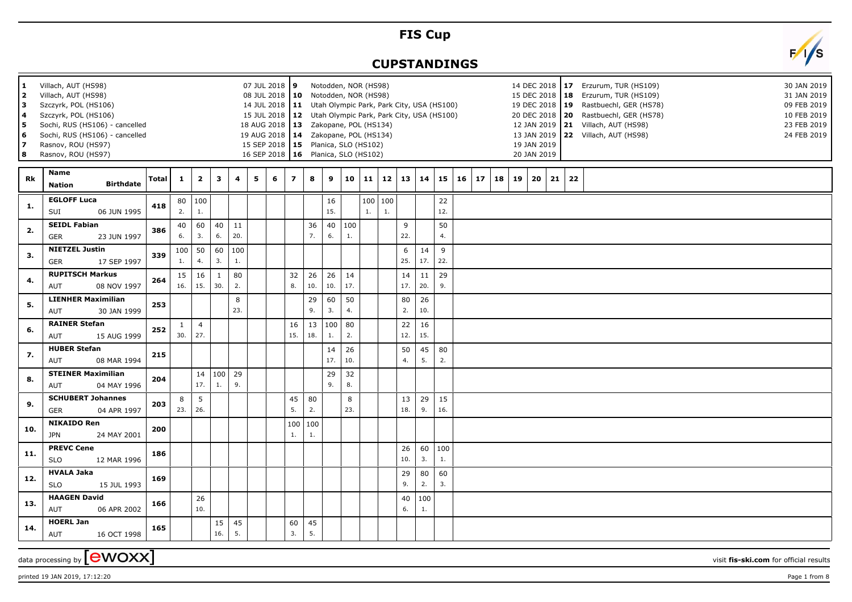## **FIS Cup**

## **CUPSTANDINGS**



| $\mathbf{1}$<br>l 2<br>l 3<br>  4<br>5<br>6<br>17<br>8 | Villach, AUT (HS98)<br>Villach, AUT (HS98)<br>Szczyrk, POL (HS106)<br>Szczyrk, POL (HS106)<br>Sochi, RUS (HS106) - cancelled<br>Sochi, RUS (HS106) - cancelled<br>Rasnov, ROU (HS97)<br>Rasnov, ROU (HS97) |              |                     |                         |                     |               |   | 07 JUL 2018 9<br>08 JUL 2018   10 Notodden, NOR (HS98)<br>14 JUL 2018 11 Utah Olympic Park, Park City, USA (HS100)<br>15 JUL 2018   12 Utah Olympic Park, Park City, USA (HS100)<br>18 AUG 2018   13 Zakopane, POL (HS134)<br>19 AUG 2018   14 Zakopane, POL (HS134)<br>15 SEP 2018   15 Planica, SLO (HS102)<br>16 SEP 2018   16 Planica, SLO (HS102) |                         |           | Notodden, NOR (HS98) |           |    |                      |           |                       |           |    |    |    |    | 19 JAN 2019<br>20 JAN 2019 |    |    | 14 DEC 2018   17 Erzurum, TUR (HS109)<br>15 DEC 2018   18 Erzurum, TUR (HS109)<br>19 DEC 2018   19 Rastbuechl, GER (HS78)<br>20 DEC 2018   20 Rastbuechl, GER (HS78)<br>12 JAN 2019 21 Villach, AUT (HS98)<br>13 JAN 2019 22 Villach, AUT (HS98) | 30 JAN 2019<br>31 JAN 2019<br>09 FEB 2019<br>10 FEB 2019<br>23 FEB 2019<br>24 FEB 2019 |
|--------------------------------------------------------|------------------------------------------------------------------------------------------------------------------------------------------------------------------------------------------------------------|--------------|---------------------|-------------------------|---------------------|---------------|---|--------------------------------------------------------------------------------------------------------------------------------------------------------------------------------------------------------------------------------------------------------------------------------------------------------------------------------------------------------|-------------------------|-----------|----------------------|-----------|----|----------------------|-----------|-----------------------|-----------|----|----|----|----|----------------------------|----|----|--------------------------------------------------------------------------------------------------------------------------------------------------------------------------------------------------------------------------------------------------|----------------------------------------------------------------------------------------|
| Rk                                                     | Name<br><b>Birthdate</b><br><b>Nation</b>                                                                                                                                                                  | <b>Total</b> | 1                   | $\overline{\mathbf{2}}$ | 3                   | 4             | 5 | 6                                                                                                                                                                                                                                                                                                                                                      | $\overline{\mathbf{z}}$ | 8         | 9                    | 10        |    | $11 \mid 12 \mid 13$ |           | 14                    | 15        | 16 | 17 | 18 | 19 | 20                         | 21 | 22 |                                                                                                                                                                                                                                                  |                                                                                        |
| -1.                                                    | <b>EGLOFF Luca</b><br>SUI<br>06 JUN 1995                                                                                                                                                                   | 418          | 2.                  | 80   100<br>1.          |                     |               |   |                                                                                                                                                                                                                                                                                                                                                        |                         |           | 16<br>15.            |           | 1. | 100   100<br>1.      |           |                       | 22<br>12. |    |    |    |    |                            |    |    |                                                                                                                                                                                                                                                  |                                                                                        |
| 2.                                                     | <b>SEIDL Fabian</b><br>23 JUN 1997<br><b>GER</b>                                                                                                                                                           | 386          | 40<br>6.            | 60<br>3.                | 40<br>6.            | $11\,$<br>20. |   |                                                                                                                                                                                                                                                                                                                                                        |                         | 36<br>7.  | 40<br>6.             | 100<br>1. |    |                      | 9<br>22.  |                       | 50<br>4.  |    |    |    |    |                            |    |    |                                                                                                                                                                                                                                                  |                                                                                        |
| 3.                                                     | <b>NIETZEL Justin</b><br>17 SEP 1997<br><b>GER</b>                                                                                                                                                         | 339          | 100<br>1.           | 50<br>4.                | 60<br>3.            | 100<br>1.     |   |                                                                                                                                                                                                                                                                                                                                                        |                         |           |                      |           |    |                      | 6<br>25.  | 14<br>17.             | 9<br>22.  |    |    |    |    |                            |    |    |                                                                                                                                                                                                                                                  |                                                                                        |
| 4.                                                     | <b>RUPITSCH Markus</b><br>08 NOV 1997<br><b>AUT</b>                                                                                                                                                        | 264          | 15<br>16.           | 16<br>15.               | $\mathbf{1}$<br>30. | 80<br>2.      |   |                                                                                                                                                                                                                                                                                                                                                        | 32<br>8.                | 26<br>10. | 26<br>10.            | 14<br>17. |    |                      | 14<br>17. | $11\,$<br>20.         | 29<br>9.  |    |    |    |    |                            |    |    |                                                                                                                                                                                                                                                  |                                                                                        |
| 5.                                                     | <b>LIENHER Maximilian</b><br>30 JAN 1999<br><b>AUT</b>                                                                                                                                                     | 253          |                     |                         |                     | 8<br>23.      |   |                                                                                                                                                                                                                                                                                                                                                        |                         | 29<br>9.  | 60<br>3.             | 50<br>4.  |    |                      | 80<br>2.  | 26<br>10.             |           |    |    |    |    |                            |    |    |                                                                                                                                                                                                                                                  |                                                                                        |
| 6.                                                     | <b>RAINER Stefan</b><br>15 AUG 1999<br><b>AUT</b>                                                                                                                                                          | 252          | $\mathbf{1}$<br>30. | $\overline{4}$<br> 27.  |                     |               |   |                                                                                                                                                                                                                                                                                                                                                        | 16<br>15.               | 13<br>18. | 100<br>1.            | 80<br>2.  |    |                      | 22<br>12. | 16<br>15.             |           |    |    |    |    |                            |    |    |                                                                                                                                                                                                                                                  |                                                                                        |
| 7.                                                     | <b>HUBER Stefan</b><br>08 MAR 1994<br><b>AUT</b>                                                                                                                                                           | 215          |                     |                         |                     |               |   |                                                                                                                                                                                                                                                                                                                                                        |                         |           | 14<br>17.            | 26<br>10. |    |                      | 50<br>4.  | 45<br>5.              | 80<br>2.  |    |    |    |    |                            |    |    |                                                                                                                                                                                                                                                  |                                                                                        |
| 8.                                                     | <b>STEINER Maximilian</b><br>04 MAY 1996<br><b>AUT</b>                                                                                                                                                     | 204          |                     | 14<br>17.               | 1.                  | 100 29<br>9.  |   |                                                                                                                                                                                                                                                                                                                                                        |                         |           | 29<br>9.             | 32<br>8.  |    |                      |           |                       |           |    |    |    |    |                            |    |    |                                                                                                                                                                                                                                                  |                                                                                        |
| 9.                                                     | <b>SCHUBERT Johannes</b><br>04 APR 1997<br><b>GER</b>                                                                                                                                                      | 203          | 8<br>23.            | 5<br>26.                |                     |               |   |                                                                                                                                                                                                                                                                                                                                                        | 45<br>5.                | 80<br>2.  |                      | 8<br>23.  |    |                      | 13<br>18. | 29<br>9.              | 15<br>16. |    |    |    |    |                            |    |    |                                                                                                                                                                                                                                                  |                                                                                        |
| 10.                                                    | <b>NIKAIDO Ren</b><br><b>JPN</b><br>24 MAY 2001                                                                                                                                                            | 200          |                     |                         |                     |               |   |                                                                                                                                                                                                                                                                                                                                                        | 100<br>1.               | 100<br>1. |                      |           |    |                      |           |                       |           |    |    |    |    |                            |    |    |                                                                                                                                                                                                                                                  |                                                                                        |
| 11.                                                    | <b>PREVC Cene</b><br><b>SLO</b><br>12 MAR 1996                                                                                                                                                             | 186          |                     |                         |                     |               |   |                                                                                                                                                                                                                                                                                                                                                        |                         |           |                      |           |    |                      | 26<br>10. | 60<br>3.              | 100<br>1. |    |    |    |    |                            |    |    |                                                                                                                                                                                                                                                  |                                                                                        |
| 12.                                                    | <b>HVALA Jaka</b><br><b>SLO</b><br>15 JUL 1993                                                                                                                                                             | 169          |                     |                         |                     |               |   |                                                                                                                                                                                                                                                                                                                                                        |                         |           |                      |           |    |                      | 29<br>9.  | 80<br>2.              | 60<br>3.  |    |    |    |    |                            |    |    |                                                                                                                                                                                                                                                  |                                                                                        |
| 13.                                                    | <b>HAAGEN David</b><br><b>AUT</b><br>06 APR 2002                                                                                                                                                           | 166          |                     | 26<br>10.               |                     |               |   |                                                                                                                                                                                                                                                                                                                                                        |                         |           |                      |           |    |                      | 40<br>6.  | 100<br>$\mathbf{1}$ . |           |    |    |    |    |                            |    |    |                                                                                                                                                                                                                                                  |                                                                                        |
| 14.                                                    | <b>HOERL Jan</b><br><b>AUT</b><br>16 OCT 1998                                                                                                                                                              | 165          |                     |                         | 15<br>16.           | 45<br>5.      |   |                                                                                                                                                                                                                                                                                                                                                        | 60<br>3.                | 45<br>5.  |                      |           |    |                      |           |                       |           |    |    |    |    |                            |    |    |                                                                                                                                                                                                                                                  |                                                                                        |

data processing by **CWOXX** wisit **fis-ski.com** for official results

printed 19 JAN 2019, 17:12:20 Page 1 from 8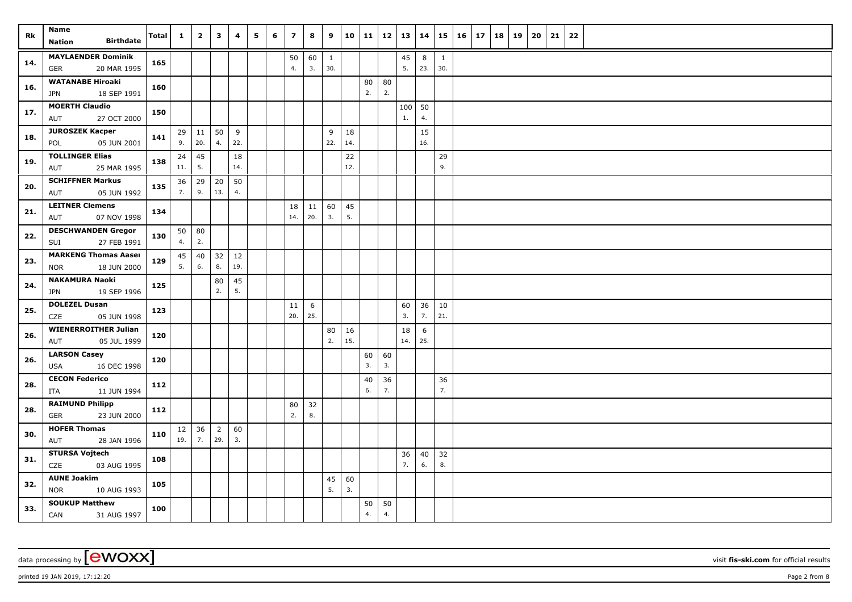| Rk  | Name                                               | Total | $\mathbf{1}$ | $\overline{2}$ | $\overline{\mathbf{3}}$ | 4        | 5 | 6 | $\overline{\phantom{a}}$ | 8   | 9            | 10  | 11       | 12       | 13        | 14       | 15           | $16 \mid 17$ | 18 | 19 | 20 | 21 | 22 |  |
|-----|----------------------------------------------------|-------|--------------|----------------|-------------------------|----------|---|---|--------------------------|-----|--------------|-----|----------|----------|-----------|----------|--------------|--------------|----|----|----|----|----|--|
|     | <b>Birthdate</b><br><b>Nation</b>                  |       |              |                |                         |          |   |   |                          |     |              |     |          |          |           |          |              |              |    |    |    |    |    |  |
| 14. | <b>MAYLAENDER Dominik</b>                          | 165   |              |                |                         |          |   |   | 50                       | 60  | $\mathbf{1}$ |     |          |          | $45\,$    | 8        | $\mathbf{1}$ |              |    |    |    |    |    |  |
|     | 20 MAR 1995<br>GER                                 |       |              |                |                         |          |   |   | 4.                       | 3.  | 30.          |     |          |          | 5.        | 23.      | 30.          |              |    |    |    |    |    |  |
| 16. | <b>WATANABE Hiroaki</b>                            | 160   |              |                |                         |          |   |   |                          |     |              |     | 80<br>2. | 80<br>2. |           |          |              |              |    |    |    |    |    |  |
|     | 18 SEP 1991<br>JPN<br><b>MOERTH Claudio</b>        |       |              |                |                         |          |   |   |                          |     |              |     |          |          |           |          |              |              |    |    |    |    |    |  |
| 17. | AUT<br>27 OCT 2000                                 | 150   |              |                |                         |          |   |   |                          |     |              |     |          |          | 100<br>1. | 50<br>4. |              |              |    |    |    |    |    |  |
|     | <b>JUROSZEK Kacper</b>                             |       | 29           | 11             | 50                      | 9        |   |   |                          |     | 9            | 18  |          |          |           | 15       |              |              |    |    |    |    |    |  |
| 18. | 05 JUN 2001<br>POL                                 | 141   | 9.           | 20.            | 4.                      | 22.      |   |   |                          |     | 22.          | 14. |          |          |           | 16.      |              |              |    |    |    |    |    |  |
|     | <b>TOLLINGER Elias</b>                             |       | 24           | 45             |                         | 18       |   |   |                          |     |              | 22  |          |          |           |          | 29           |              |    |    |    |    |    |  |
| 19. | 25 MAR 1995<br>AUT                                 | 138   | 11.          | 5.             |                         | 14.      |   |   |                          |     |              | 12. |          |          |           |          | 9.           |              |    |    |    |    |    |  |
| 20. | <b>SCHIFFNER Markus</b>                            | 135   | 36           | 29             | 20                      | 50       |   |   |                          |     |              |     |          |          |           |          |              |              |    |    |    |    |    |  |
|     | 05 JUN 1992<br>AUT                                 |       | 7.           | 9.             | 13.                     | 4.       |   |   |                          |     |              |     |          |          |           |          |              |              |    |    |    |    |    |  |
| 21. | <b>LEITNER Clemens</b>                             | 134   |              |                |                         |          |   |   | 18                       | 11  | 60           | 45  |          |          |           |          |              |              |    |    |    |    |    |  |
|     | 07 NOV 1998<br>AUT                                 |       |              |                |                         |          |   |   | 14.                      | 20. | 3.           | 5.  |          |          |           |          |              |              |    |    |    |    |    |  |
| 22. | <b>DESCHWANDEN Gregor</b>                          | 130   | 50           | 80             |                         |          |   |   |                          |     |              |     |          |          |           |          |              |              |    |    |    |    |    |  |
|     | 27 FEB 1991<br>SUI                                 |       | 4.           | 2.             |                         |          |   |   |                          |     |              |     |          |          |           |          |              |              |    |    |    |    |    |  |
| 23. | <b>MARKENG Thomas Aaser</b>                        | 129   | 45           | 40             | 32                      | 12       |   |   |                          |     |              |     |          |          |           |          |              |              |    |    |    |    |    |  |
|     | 18 JUN 2000<br><b>NOR</b>                          |       | 5.           | 6.             | 8.                      | 19.      |   |   |                          |     |              |     |          |          |           |          |              |              |    |    |    |    |    |  |
| 24. | <b>NAKAMURA Naoki</b><br>19 SEP 1996<br><b>JPN</b> | 125   |              |                | 80<br>2.                | 45<br>5. |   |   |                          |     |              |     |          |          |           |          |              |              |    |    |    |    |    |  |
|     | <b>DOLEZEL Dusan</b>                               |       |              |                |                         |          |   |   | 11                       | 6   |              |     |          |          | 60        | 36       | 10           |              |    |    |    |    |    |  |
| 25. | CZE<br>05 JUN 1998                                 | 123   |              |                |                         |          |   |   | 20.                      | 25. |              |     |          |          | 3.        | 7.       | 21.          |              |    |    |    |    |    |  |
|     | <b>WIENERROITHER Julian</b>                        |       |              |                |                         |          |   |   |                          |     | 80           | 16  |          |          | 18        | 6        |              |              |    |    |    |    |    |  |
| 26. | 05 JUL 1999<br>AUT                                 | 120   |              |                |                         |          |   |   |                          |     | 2.           | 15. |          |          | 14.       | 25.      |              |              |    |    |    |    |    |  |
| 26. | <b>LARSON Casey</b>                                | 120   |              |                |                         |          |   |   |                          |     |              |     | 60       | 60       |           |          |              |              |    |    |    |    |    |  |
|     | 16 DEC 1998<br><b>USA</b>                          |       |              |                |                         |          |   |   |                          |     |              |     | 3.       | 3.       |           |          |              |              |    |    |    |    |    |  |
| 28. | <b>CECON Federico</b>                              | 112   |              |                |                         |          |   |   |                          |     |              |     | 40       | 36       |           |          | 36           |              |    |    |    |    |    |  |
|     | 11 JUN 1994<br>ITA                                 |       |              |                |                         |          |   |   |                          |     |              |     | 6.       | 7.       |           |          | 7.           |              |    |    |    |    |    |  |
| 28. | <b>RAIMUND Philipp</b>                             | 112   |              |                |                         |          |   |   | 80                       | 32  |              |     |          |          |           |          |              |              |    |    |    |    |    |  |
|     | 23 JUN 2000<br>GER                                 |       |              |                |                         |          |   |   | 2.                       | 8.  |              |     |          |          |           |          |              |              |    |    |    |    |    |  |
| 30. | <b>HOFER Thomas</b><br>AUT<br>28 JAN 1996          | 110   | 12<br>19.    | 36<br>7.       | $\overline{2}$<br>29.   | 60<br>3. |   |   |                          |     |              |     |          |          |           |          |              |              |    |    |    |    |    |  |
|     | <b>STURSA Vojtech</b>                              |       |              |                |                         |          |   |   |                          |     |              |     |          |          | 36        | 40       | 32           |              |    |    |    |    |    |  |
| 31. | CZE<br>03 AUG 1995                                 | 108   |              |                |                         |          |   |   |                          |     |              |     |          |          | 7.        | 6.       | 8.           |              |    |    |    |    |    |  |
|     | <b>AUNE Joakim</b>                                 |       |              |                |                         |          |   |   |                          |     | 45           | 60  |          |          |           |          |              |              |    |    |    |    |    |  |
| 32. | <b>NOR</b><br>10 AUG 1993                          | 105   |              |                |                         |          |   |   |                          |     | 5.           | 3.  |          |          |           |          |              |              |    |    |    |    |    |  |
| 33. | <b>SOUKUP Matthew</b>                              | 100   |              |                |                         |          |   |   |                          |     |              |     | 50       | 50       |           |          |              |              |    |    |    |    |    |  |
|     | CAN<br>31 AUG 1997                                 |       |              |                |                         |          |   |   |                          |     |              |     | 4.       | 4.       |           |          |              |              |    |    |    |    |    |  |

printed 19 JAN 2019, 17:12:20 Page 2 from 8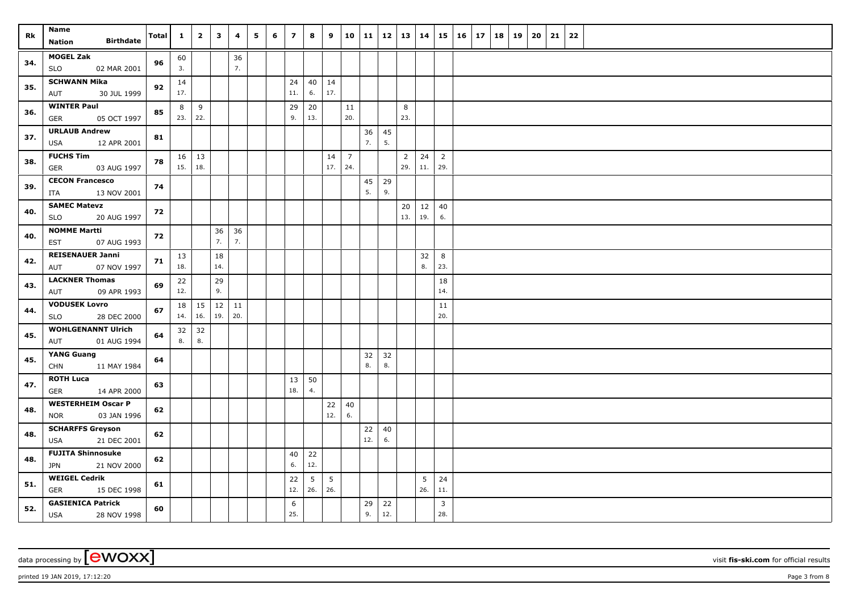| Rk  | Name<br><b>Birthdate</b><br>Nation                     | <b>Total</b> | $\mathbf{1}$ | $\overline{\mathbf{2}}$   | $\mathbf{3}$ | 4         | 5 | 6 | $\overline{z}$ | 8         | 9                      | 10                    | 11        |           | $12 \mid 13$ | 14        | 15                    | $16 \mid 17$ | 18 | 19 | 20 | 21 | 22 |  |
|-----|--------------------------------------------------------|--------------|--------------|---------------------------|--------------|-----------|---|---|----------------|-----------|------------------------|-----------------------|-----------|-----------|--------------|-----------|-----------------------|--------------|----|----|----|----|----|--|
| 34. | <b>MOGEL Zak</b><br><b>SLO</b><br>02 MAR 2001          | 96           | 60<br>3.     |                           |              | 36<br>7.  |   |   |                |           |                        |                       |           |           |              |           |                       |              |    |    |    |    |    |  |
| 35. | <b>SCHWANN Mika</b><br>30 JUL 1999<br>AUT              | 92           | 14<br>17.    |                           |              |           |   |   | 24<br>11.      | 40<br>6.  | 14<br>17.              |                       |           |           |              |           |                       |              |    |    |    |    |    |  |
| 36. | <b>WINTER Paul</b><br><b>GER</b><br>05 OCT 1997        | 85           | 8            | 9<br>$23.$ 22.            |              |           |   |   | 29<br>9.       | 20<br>13. |                        | $11\,$<br>20.         |           |           | 8<br>23.     |           |                       |              |    |    |    |    |    |  |
| 37. | <b>URLAUB Andrew</b><br><b>USA</b><br>12 APR 2001      | 81           |              |                           |              |           |   |   |                |           |                        |                       | 36<br>7.  | 45<br>5.  |              |           |                       |              |    |    |    |    |    |  |
| 38. | <b>FUCHS Tim</b><br><b>GER</b><br>03 AUG 1997          | 78           |              | $16 \mid 13$<br>15.   18. |              |           |   |   |                |           | 14<br>17.              | $\overline{7}$<br>24. |           |           | 2<br>29.     | 24<br>11. | $\overline{2}$<br>29. |              |    |    |    |    |    |  |
| 39. | <b>CECON Francesco</b><br>13 NOV 2001<br>ITA           | 74           |              |                           |              |           |   |   |                |           |                        |                       | 45<br>5.  | 29<br>9.  |              |           |                       |              |    |    |    |    |    |  |
| 40. | <b>SAMEC Matevz</b><br><b>SLO</b><br>20 AUG 1997       | 72           |              |                           |              |           |   |   |                |           |                        |                       |           |           | 20<br>13.    | 12<br>19. | 40<br>6.              |              |    |    |    |    |    |  |
| 40. | <b>NOMME Martti</b><br>EST<br>07 AUG 1993              | 72           |              |                           | 36<br>7.     | 36<br>7.  |   |   |                |           |                        |                       |           |           |              |           |                       |              |    |    |    |    |    |  |
| 42. | <b>REISENAUER Janni</b><br>07 NOV 1997<br>AUT          | 71           | 13<br>18.    |                           | 18<br>14.    |           |   |   |                |           |                        |                       |           |           |              | 32<br>8.  | 8<br>23.              |              |    |    |    |    |    |  |
| 43. | <b>LACKNER Thomas</b><br>09 APR 1993<br>AUT            | 69           | 22<br>12.    |                           | 29<br>9.     |           |   |   |                |           |                        |                       |           |           |              |           | 18<br>14.             |              |    |    |    |    |    |  |
| 44. | <b>VODUSEK Lovro</b><br><b>SLO</b><br>28 DEC 2000      | 67           | 18           | 15<br>14.   16.           | $12$<br>19.  | 11<br>20. |   |   |                |           |                        |                       |           |           |              |           | 11<br>20.             |              |    |    |    |    |    |  |
| 45. | <b>WOHLGENANNT Ulrich</b><br>AUT<br>01 AUG 1994        | 64           | 32<br>8.     | 32<br>8.                  |              |           |   |   |                |           |                        |                       |           |           |              |           |                       |              |    |    |    |    |    |  |
| 45. | YANG Guang<br><b>CHN</b><br>11 MAY 1984                | 64           |              |                           |              |           |   |   |                |           |                        |                       | 32<br>8.  | 32<br>8.  |              |           |                       |              |    |    |    |    |    |  |
| 47. | <b>ROTH Luca</b><br>GER<br>14 APR 2000                 | 63           |              |                           |              |           |   |   | 13<br>18.      | 50<br>4.  |                        |                       |           |           |              |           |                       |              |    |    |    |    |    |  |
| 48. | <b>WESTERHEIM Oscar P</b><br>03 JAN 1996<br><b>NOR</b> | 62           |              |                           |              |           |   |   |                |           | 22<br>12.              | 40<br>6.              |           |           |              |           |                       |              |    |    |    |    |    |  |
| 48. | <b>SCHARFFS Greyson</b><br><b>USA</b><br>21 DEC 2001   | 62           |              |                           |              |           |   |   |                |           |                        |                       | 22<br>12. | 40<br>6.  |              |           |                       |              |    |    |    |    |    |  |
| 48. | <b>FUJITA Shinnosuke</b><br>21 NOV 2000<br><b>JPN</b>  | 62           |              |                           |              |           |   |   | 40<br>6.       | 22<br>12. |                        |                       |           |           |              |           |                       |              |    |    |    |    |    |  |
| 51. | <b>WEIGEL Cedrik</b><br><b>GER</b><br>15 DEC 1998      | 61           |              |                           |              |           |   |   | 22<br>12.      | 5<br>26.  | $5\phantom{.0}$<br>26. |                       |           |           |              | 5<br>26.  | 24<br>11.             |              |    |    |    |    |    |  |
| 52. | <b>GASIENICA Patrick</b><br><b>USA</b><br>28 NOV 1998  | 60           |              |                           |              |           |   |   | 6<br>25.       |           |                        |                       | 29<br>9.  | 22<br>12. |              |           | $\mathbf{3}$<br>28.   |              |    |    |    |    |    |  |

printed 19 JAN 2019, 17:12:20 Page 3 from 8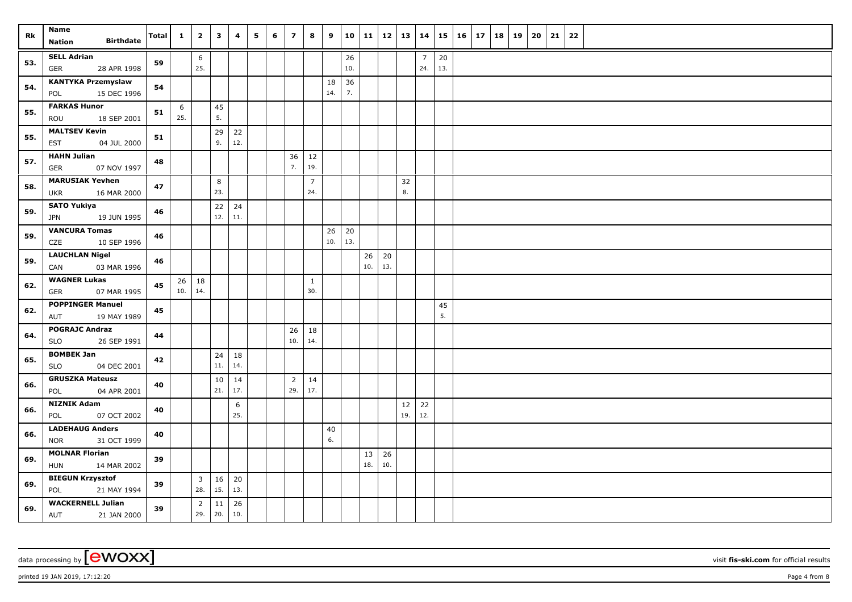| Rk  | Name                                                | <b>Total</b> | $\mathbf{1}$ | $\overline{2}$        | $\mathbf{3}$ | 4         | 5 | 6 | $\overline{7}$        | 8                     | 9         | 10        | 11        |           | $12 \mid 13 \mid$ | 14                    |           | $15 \mid 16 \mid 17$ | 18 | 19 | 20 | 21 | 22 |  |
|-----|-----------------------------------------------------|--------------|--------------|-----------------------|--------------|-----------|---|---|-----------------------|-----------------------|-----------|-----------|-----------|-----------|-------------------|-----------------------|-----------|----------------------|----|----|----|----|----|--|
|     | <b>Birthdate</b><br>Nation                          |              |              |                       |              |           |   |   |                       |                       |           |           |           |           |                   |                       |           |                      |    |    |    |    |    |  |
| 53. | <b>SELL Adrian</b><br>28 APR 1998<br><b>GER</b>     | 59           |              | 6<br>25.              |              |           |   |   |                       |                       |           | 26<br>10. |           |           |                   | $\overline{7}$<br>24. | 20<br>13. |                      |    |    |    |    |    |  |
| 54. | <b>KANTYKA Przemyslaw</b><br>15 DEC 1996<br>POL     | 54           |              |                       |              |           |   |   |                       |                       | 18<br>14. | 36<br>7.  |           |           |                   |                       |           |                      |    |    |    |    |    |  |
| 55. | <b>FARKAS Hunor</b><br>ROU<br>18 SEP 2001           | 51           | 6<br>25.     |                       | 45<br>5.     |           |   |   |                       |                       |           |           |           |           |                   |                       |           |                      |    |    |    |    |    |  |
| 55. | <b>MALTSEV Kevin</b><br><b>EST</b><br>04 JUL 2000   | 51           |              |                       | 29<br>9.     | 22<br>12. |   |   |                       |                       |           |           |           |           |                   |                       |           |                      |    |    |    |    |    |  |
| 57. | <b>HAHN Julian</b><br>07 NOV 1997<br>GER            | 48           |              |                       |              |           |   |   | 36<br>7.              | 12<br>19.             |           |           |           |           |                   |                       |           |                      |    |    |    |    |    |  |
| 58. | <b>MARUSIAK Yevhen</b><br><b>UKR</b><br>16 MAR 2000 | 47           |              |                       | 8<br>23.     |           |   |   |                       | $\overline{7}$<br>24. |           |           |           |           | 32<br>8.          |                       |           |                      |    |    |    |    |    |  |
| 59. | <b>SATO Yukiya</b><br>19 JUN 1995<br><b>JPN</b>     | 46           |              |                       | 22<br>12.    | 24<br>11. |   |   |                       |                       |           |           |           |           |                   |                       |           |                      |    |    |    |    |    |  |
| 59. | <b>VANCURA Tomas</b><br>CZE<br>10 SEP 1996          | 46           |              |                       |              |           |   |   |                       |                       | 26<br>10. | 20<br>13. |           |           |                   |                       |           |                      |    |    |    |    |    |  |
| 59. | <b>LAUCHLAN Nigel</b><br>CAN<br>03 MAR 1996         | 46           |              |                       |              |           |   |   |                       |                       |           |           | 26<br>10. | 20<br>13. |                   |                       |           |                      |    |    |    |    |    |  |
| 62. | <b>WAGNER Lukas</b><br>07 MAR 1995<br><b>GER</b>    | 45           | 10.          | $26 \mid 18$<br>14.   |              |           |   |   |                       | $\mathbf{1}$<br>30.   |           |           |           |           |                   |                       |           |                      |    |    |    |    |    |  |
| 62. | <b>POPPINGER Manuel</b><br>19 MAY 1989<br>AUT       | 45           |              |                       |              |           |   |   |                       |                       |           |           |           |           |                   |                       | 45<br>5.  |                      |    |    |    |    |    |  |
| 64. | <b>POGRAJC Andraz</b><br>26 SEP 1991<br><b>SLO</b>  | 44           |              |                       |              |           |   |   | 26<br>10.             | 18<br>14.             |           |           |           |           |                   |                       |           |                      |    |    |    |    |    |  |
| 65. | <b>BOMBEK Jan</b><br>04 DEC 2001<br><b>SLO</b>      | 42           |              |                       | 24<br>$11.$  | 18<br>14. |   |   |                       |                       |           |           |           |           |                   |                       |           |                      |    |    |    |    |    |  |
| 66. | <b>GRUSZKA Mateusz</b><br>POL<br>04 APR 2001        | 40           |              |                       | 10<br>21.    | 14<br>17. |   |   | $\overline{2}$<br>29. | 14<br>17.             |           |           |           |           |                   |                       |           |                      |    |    |    |    |    |  |
| 66. | <b>NIZNIK Adam</b><br>07 OCT 2002<br>POL            | 40           |              |                       |              | 6<br>25.  |   |   |                       |                       |           |           |           |           | 12<br>19.         | 22<br>12.             |           |                      |    |    |    |    |    |  |
| 66. | <b>LADEHAUG Anders</b><br><b>NOR</b><br>31 OCT 1999 | 40           |              |                       |              |           |   |   |                       |                       | 40<br>6.  |           |           |           |                   |                       |           |                      |    |    |    |    |    |  |
| 69. | <b>MOLNAR Florian</b><br>14 MAR 2002<br><b>HUN</b>  | 39           |              |                       |              |           |   |   |                       |                       |           |           | 13<br>18. | 26<br>10. |                   |                       |           |                      |    |    |    |    |    |  |
| 69. | <b>BIEGUN Krzysztof</b><br>21 MAY 1994<br>POL       | 39           |              | $\overline{3}$<br>28. | 16<br>15.    | 20<br>13. |   |   |                       |                       |           |           |           |           |                   |                       |           |                      |    |    |    |    |    |  |
| 69. | <b>WACKERNELL Julian</b><br>AUT<br>21 JAN 2000      | 39           |              | $\overline{2}$<br>29. | 11<br>20.    | 26<br>10. |   |   |                       |                       |           |           |           |           |                   |                       |           |                      |    |    |    |    |    |  |

data processing by **CWOXX** visit **fis-ski.com** for official results

printed 19 JAN 2019, 17:12:20 Page 4 from 8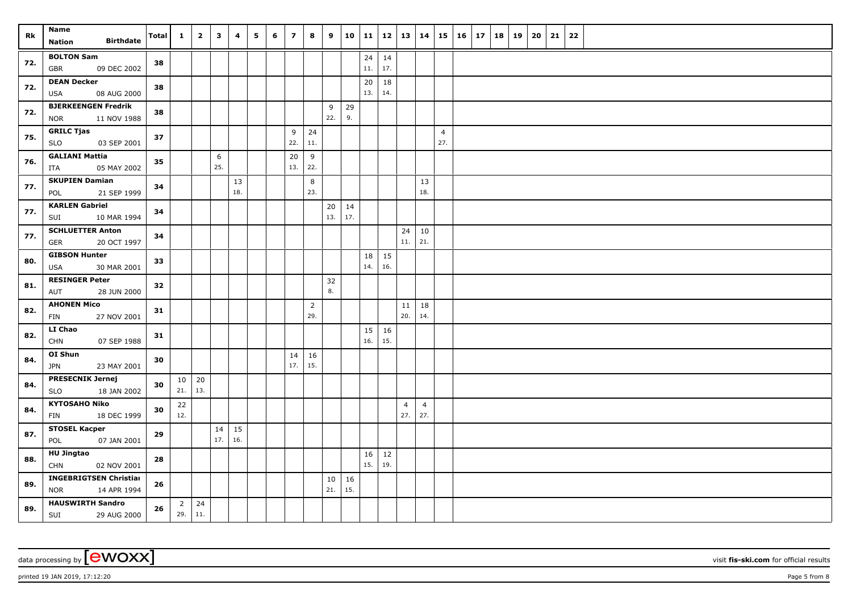| Rk  | Name<br><b>Birthdate</b><br><b>Nation</b>               | Total | $\mathbf{1}$ | $\overline{\mathbf{2}}$ | $\mathbf{3}$ | 4         | 5 | 6 | $\overline{z}$ | 8                     | 9         |           |                     | $10$   11   12   13   14 |           |                       | $15 \vert$            | 16 17 | 18 | 19 | 20 | 21 | 22 |  |
|-----|---------------------------------------------------------|-------|--------------|-------------------------|--------------|-----------|---|---|----------------|-----------------------|-----------|-----------|---------------------|--------------------------|-----------|-----------------------|-----------------------|-------|----|----|----|----|----|--|
| 72. | <b>BOLTON Sam</b>                                       | 38    |              |                         |              |           |   |   |                |                       |           |           | $24 \mid 14$        |                          |           |                       |                       |       |    |    |    |    |    |  |
|     | 09 DEC 2002<br>GBR                                      |       |              |                         |              |           |   |   |                |                       |           |           | 11.                 | 17.                      |           |                       |                       |       |    |    |    |    |    |  |
| 72. | <b>DEAN Decker</b><br>08 AUG 2000<br>USA                | 38    |              |                         |              |           |   |   |                |                       |           |           | 20<br>13.           | 18<br>14.                |           |                       |                       |       |    |    |    |    |    |  |
| 72. | <b>BJERKEENGEN Fredrik</b><br><b>NOR</b><br>11 NOV 1988 | 38    |              |                         |              |           |   |   |                |                       | 9<br>22.  | 29<br>9.  |                     |                          |           |                       |                       |       |    |    |    |    |    |  |
| 75. | <b>GRILC Tjas</b><br><b>SLO</b><br>03 SEP 2001          | 37    |              |                         |              |           |   |   | 9<br>22.       | 24<br>11.             |           |           |                     |                          |           |                       | $\overline{4}$<br>27. |       |    |    |    |    |    |  |
| 76. | <b>GALIANI Mattia</b><br>05 MAY 2002<br>ITA             | 35    |              |                         | 6<br>25.     |           |   |   | 20<br>13.      | 9<br>22.              |           |           |                     |                          |           |                       |                       |       |    |    |    |    |    |  |
| 77. | <b>SKUPIEN Damian</b><br>21 SEP 1999<br>POL             | 34    |              |                         |              | 13<br>18. |   |   |                | 8<br>23.              |           |           |                     |                          |           | 13<br>18.             |                       |       |    |    |    |    |    |  |
| 77. | <b>KARLEN Gabriel</b><br>SUI<br>10 MAR 1994             | 34    |              |                         |              |           |   |   |                |                       | 20<br>13. | 14<br>17. |                     |                          |           |                       |                       |       |    |    |    |    |    |  |
| 77. | <b>SCHLUETTER Anton</b><br><b>GER</b><br>20 OCT 1997    | 34    |              |                         |              |           |   |   |                |                       |           |           |                     |                          | 24<br>11. | 10<br>21.             |                       |       |    |    |    |    |    |  |
|     | <b>GIBSON Hunter</b>                                    |       |              |                         |              |           |   |   |                |                       |           |           | 18                  | 15                       |           |                       |                       |       |    |    |    |    |    |  |
| 80. | 30 MAR 2001<br>USA                                      | 33    |              |                         |              |           |   |   |                |                       |           |           | 14.                 | 16.                      |           |                       |                       |       |    |    |    |    |    |  |
| 81. | <b>RESINGER Peter</b><br>AUT<br>28 JUN 2000             | 32    |              |                         |              |           |   |   |                |                       | 32<br>8.  |           |                     |                          |           |                       |                       |       |    |    |    |    |    |  |
| 82. | <b>AHONEN Mico</b><br>FIN<br>27 NOV 2001                | 31    |              |                         |              |           |   |   |                | $\overline{2}$<br>29. |           |           |                     |                          | 11<br>20. | 18<br>14.             |                       |       |    |    |    |    |    |  |
| 82. | <b>LI Chao</b><br><b>CHN</b><br>07 SEP 1988             | 31    |              |                         |              |           |   |   |                |                       |           |           | $15 \mid 16$<br>16. | 15.                      |           |                       |                       |       |    |    |    |    |    |  |
| 84. | OI Shun<br><b>JPN</b><br>23 MAY 2001                    | 30    |              |                         |              |           |   |   | 14<br>17.      | 16<br>15.             |           |           |                     |                          |           |                       |                       |       |    |    |    |    |    |  |
| 84. | <b>PRESECNIK Jernej</b><br><b>SLO</b><br>18 JAN 2002    | 30    | 10<br>21.    | 20<br>13.               |              |           |   |   |                |                       |           |           |                     |                          |           |                       |                       |       |    |    |    |    |    |  |
| 84. | <b>KYTOSAHO Niko</b><br>FIN<br>18 DEC 1999              | 30    | 22<br>12.    |                         |              |           |   |   |                |                       |           |           |                     |                          | 4<br>27.  | $\overline{4}$<br>27. |                       |       |    |    |    |    |    |  |
| 87. | <b>STOSEL Kacper</b><br>POL<br>07 JAN 2001              | 29    |              |                         | 14<br>17.    | 15<br>16. |   |   |                |                       |           |           |                     |                          |           |                       |                       |       |    |    |    |    |    |  |
| 88. | <b>HU Jingtao</b><br><b>CHN</b><br>02 NOV 2001          | 28    |              |                         |              |           |   |   |                |                       |           |           | 16<br>15.           | 12<br>19.                |           |                       |                       |       |    |    |    |    |    |  |
|     | <b>INGEBRIGTSEN Christian</b>                           |       |              |                         |              |           |   |   |                |                       | 10        | 16        |                     |                          |           |                       |                       |       |    |    |    |    |    |  |
| 89. | <b>NOR</b><br>14 APR 1994                               | 26    |              |                         |              |           |   |   |                |                       | 21.       | 15.       |                     |                          |           |                       |                       |       |    |    |    |    |    |  |
| 89. | <b>HAUSWIRTH Sandro</b><br><b>SUI</b><br>29 AUG 2000    | 26    | 29.          | $2 \mid 24$<br> 11.     |              |           |   |   |                |                       |           |           |                     |                          |           |                       |                       |       |    |    |    |    |    |  |

data processing by **CWOXX** wisit **fis-ski.com** for official results

printed 19 JAN 2019, 17:12:20 Page 5 from 8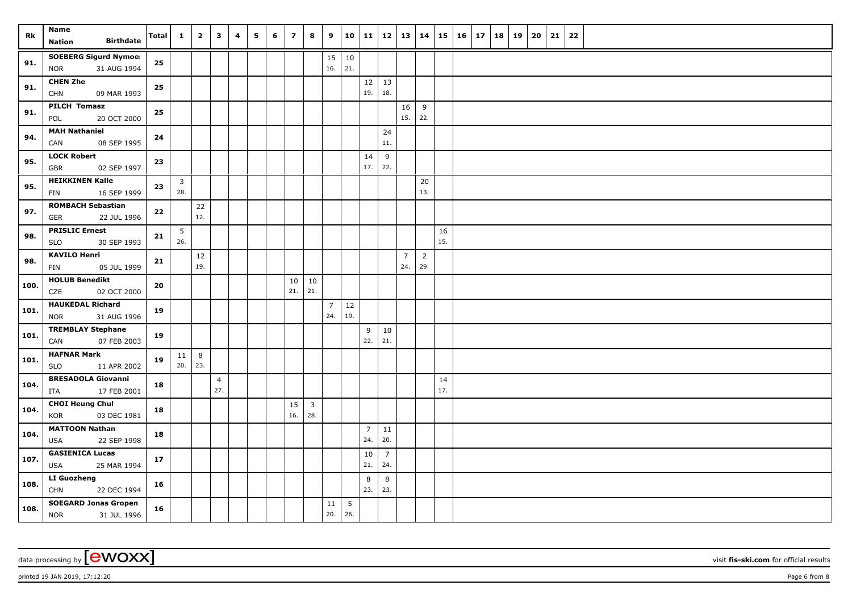| Rk   | <b>Name</b><br><b>Birthdate</b><br><b>Nation</b>          | <b>Total</b> | $\mathbf{1}$           | $\overline{\mathbf{2}}$ | 3                     | 4 | 5 | 6 | $\overline{z}$ | 8                     | 9                     | 10                     | 11                    | 12                    | 13                    | 14                    | 15        | 16 | 17 | 18 | 19 | 20 | 21 | 22 |
|------|-----------------------------------------------------------|--------------|------------------------|-------------------------|-----------------------|---|---|---|----------------|-----------------------|-----------------------|------------------------|-----------------------|-----------------------|-----------------------|-----------------------|-----------|----|----|----|----|----|----|----|
| 91.  | <b>SOEBERG Sigurd Nymoel</b><br>31 AUG 1994<br><b>NOR</b> | 25           |                        |                         |                       |   |   |   |                |                       | 15<br>16.             | 10<br>21.              |                       |                       |                       |                       |           |    |    |    |    |    |    |    |
| 91.  | <b>CHEN Zhe</b><br><b>CHN</b><br>09 MAR 1993              | 25           |                        |                         |                       |   |   |   |                |                       |                       |                        | 12<br>19.             | 13<br>18.             |                       |                       |           |    |    |    |    |    |    |    |
| 91.  | <b>PILCH Tomasz</b><br>POL<br>20 OCT 2000                 | 25           |                        |                         |                       |   |   |   |                |                       |                       |                        |                       |                       | 16<br>15.             | 9<br>22.              |           |    |    |    |    |    |    |    |
| 94.  | <b>MAH Nathaniel</b><br>CAN<br>08 SEP 1995                | 24           |                        |                         |                       |   |   |   |                |                       |                       |                        |                       | 24<br>11.             |                       |                       |           |    |    |    |    |    |    |    |
| 95.  | <b>LOCK Robert</b><br>02 SEP 1997<br>GBR                  | 23           |                        |                         |                       |   |   |   |                |                       |                       |                        | 14<br>17.             | 9<br>22.              |                       |                       |           |    |    |    |    |    |    |    |
| 95.  | <b>HEIKKINEN Kalle</b><br>16 SEP 1999<br>FIN              | 23           | $\overline{3}$<br>28.  |                         |                       |   |   |   |                |                       |                       |                        |                       |                       |                       | 20<br>13.             |           |    |    |    |    |    |    |    |
| 97.  | <b>ROMBACH Sebastian</b><br>22 JUL 1996<br>GER            | 22           |                        | 22<br>12.               |                       |   |   |   |                |                       |                       |                        |                       |                       |                       |                       |           |    |    |    |    |    |    |    |
| 98.  | <b>PRISLIC Ernest</b><br><b>SLO</b><br>30 SEP 1993        | 21           | $5\phantom{.0}$<br>26. |                         |                       |   |   |   |                |                       |                       |                        |                       |                       |                       |                       | 16<br>15. |    |    |    |    |    |    |    |
| 98.  | <b>KAVILO Henri</b><br>FIN<br>05 JUL 1999                 | 21           |                        | $12\,$<br>19.           |                       |   |   |   |                |                       |                       |                        |                       |                       | $\overline{7}$<br>24. | $\overline{2}$<br>29. |           |    |    |    |    |    |    |    |
| 100. | <b>HOLUB Benedikt</b><br>CZE<br>02 OCT 2000               | 20           |                        |                         |                       |   |   |   | 10<br>21.      | 10<br>21.             |                       |                        |                       |                       |                       |                       |           |    |    |    |    |    |    |    |
| 101. | <b>HAUKEDAL Richard</b><br>31 AUG 1996<br><b>NOR</b>      | 19           |                        |                         |                       |   |   |   |                |                       | $\overline{7}$<br>24. | $12$<br>19.            |                       |                       |                       |                       |           |    |    |    |    |    |    |    |
| 101. | <b>TREMBLAY Stephane</b><br>07 FEB 2003<br>CAN            | 19           |                        |                         |                       |   |   |   |                |                       |                       |                        | 9<br>22.              | $10\,$<br>21.         |                       |                       |           |    |    |    |    |    |    |    |
| 101. | <b>HAFNAR Mark</b><br>11 APR 2002<br><b>SLO</b>           | 19           | 11<br>20.              | $8\phantom{1}$<br>23.   |                       |   |   |   |                |                       |                       |                        |                       |                       |                       |                       |           |    |    |    |    |    |    |    |
| 104. | <b>BRESADOLA Giovanni</b><br>17 FEB 2001<br>ITA           | 18           |                        |                         | $\overline{4}$<br>27. |   |   |   |                |                       |                       |                        |                       |                       |                       |                       | 14<br>17. |    |    |    |    |    |    |    |
| 104. | <b>CHOI Heung Chul</b><br>03 DEC 1981<br>KOR              | 18           |                        |                         |                       |   |   |   | 15<br>16.      | $\overline{3}$<br>28. |                       |                        |                       |                       |                       |                       |           |    |    |    |    |    |    |    |
| 104. | <b>MATTOON Nathan</b><br>22 SEP 1998<br><b>USA</b>        | 18           |                        |                         |                       |   |   |   |                |                       |                       |                        | $\overline{7}$<br>24. | 11<br>20.             |                       |                       |           |    |    |    |    |    |    |    |
| 107. | <b>GASIENICA Lucas</b><br>25 MAR 1994<br><b>USA</b>       | 17           |                        |                         |                       |   |   |   |                |                       |                       |                        | 10<br>21.             | $\overline{7}$<br>24. |                       |                       |           |    |    |    |    |    |    |    |
| 108. | LI Guozheng<br><b>CHN</b><br>22 DEC 1994                  | 16           |                        |                         |                       |   |   |   |                |                       |                       |                        | 8<br>23.              | 8<br>23.              |                       |                       |           |    |    |    |    |    |    |    |
| 108. | <b>SOEGARD Jonas Gropen</b><br><b>NOR</b><br>31 JUL 1996  | 16           |                        |                         |                       |   |   |   |                |                       | 11<br>20.             | $5\phantom{.0}$<br>26. |                       |                       |                       |                       |           |    |    |    |    |    |    |    |

data processing by **CWOXX** wisit **fis-ski.com** for official results

printed 19 JAN 2019, 17:12:20 Page 6 from 8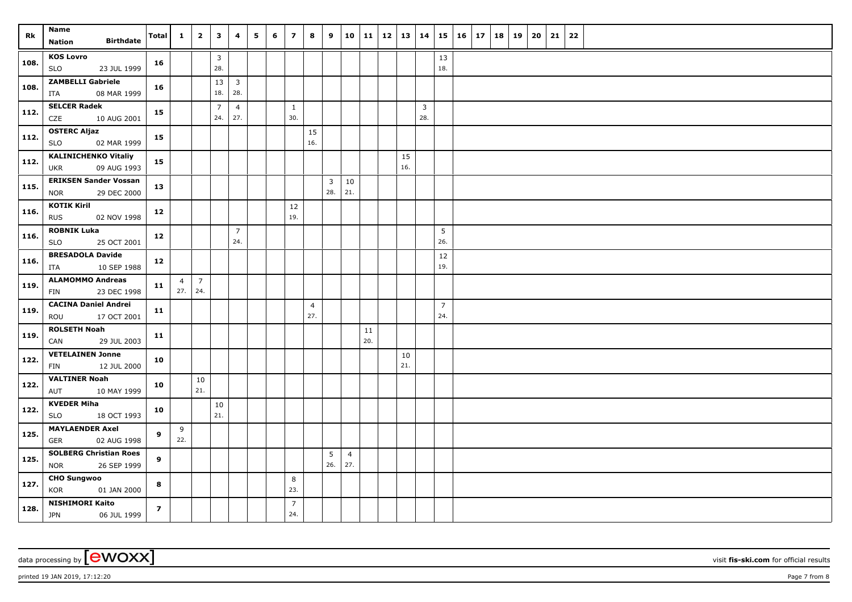| Rk   | Name                                                       | <b>Total</b>   | $\mathbf{1}$                | $\overline{2}$ | $\mathbf{3}$          | 4                     | 5 | 6 | $\overline{7}$        | 8                     | 9                   | 10                    | 11        | 12   13 |           | 14                    |                       | $15 \mid 16 \mid$ | 17 | 18 | 19 | 20 | 21 | 22 |  |
|------|------------------------------------------------------------|----------------|-----------------------------|----------------|-----------------------|-----------------------|---|---|-----------------------|-----------------------|---------------------|-----------------------|-----------|---------|-----------|-----------------------|-----------------------|-------------------|----|----|----|----|----|----|--|
|      | <b>Birthdate</b><br>Nation                                 |                |                             |                |                       |                       |   |   |                       |                       |                     |                       |           |         |           |                       |                       |                   |    |    |    |    |    |    |  |
| 108. | <b>KOS Lovro</b><br><b>SLO</b><br>23 JUL 1999              | 16             |                             |                | 3<br>28.              |                       |   |   |                       |                       |                     |                       |           |         |           |                       | 13<br>18.             |                   |    |    |    |    |    |    |  |
| 108. | <b>ZAMBELLI Gabriele</b><br>08 MAR 1999<br>ITA             | 16             |                             |                | 13<br>18.             | $\overline{3}$<br>28. |   |   |                       |                       |                     |                       |           |         |           |                       |                       |                   |    |    |    |    |    |    |  |
| 112. | <b>SELCER Radek</b><br>CZE<br>10 AUG 2001                  | 15             |                             |                | $\overline{7}$<br>24. | $\overline{4}$<br>27. |   |   | $\mathbf{1}$<br>30.   |                       |                     |                       |           |         |           | $\overline{3}$<br>28. |                       |                   |    |    |    |    |    |    |  |
| 112. | <b>OSTERC Aljaz</b><br><b>SLO</b><br>02 MAR 1999           | 15             |                             |                |                       |                       |   |   |                       | 15<br>16.             |                     |                       |           |         |           |                       |                       |                   |    |    |    |    |    |    |  |
| 112. | <b>KALINICHENKO Vitaliy</b><br>09 AUG 1993<br>UKR          | 15             |                             |                |                       |                       |   |   |                       |                       |                     |                       |           |         | 15<br>16. |                       |                       |                   |    |    |    |    |    |    |  |
| 115. | <b>ERIKSEN Sander Vossan</b><br>29 DEC 2000<br><b>NOR</b>  | 13             |                             |                |                       |                       |   |   |                       |                       | $\mathbf{3}$<br>28. | $10\,$<br>21.         |           |         |           |                       |                       |                   |    |    |    |    |    |    |  |
| 116. | <b>KOTIK Kiril</b><br>02 NOV 1998<br><b>RUS</b>            | 12             |                             |                |                       |                       |   |   | $12\,$<br>19.         |                       |                     |                       |           |         |           |                       |                       |                   |    |    |    |    |    |    |  |
| 116. | <b>ROBNIK Luka</b><br><b>SLO</b><br>25 OCT 2001            | 12             |                             |                |                       | $\overline{7}$<br>24. |   |   |                       |                       |                     |                       |           |         |           |                       | 5<br>26.              |                   |    |    |    |    |    |    |  |
| 116. | <b>BRESADOLA Davide</b><br>10 SEP 1988<br>ITA              | 12             |                             |                |                       |                       |   |   |                       |                       |                     |                       |           |         |           |                       | 12<br>19.             |                   |    |    |    |    |    |    |  |
| 119. | <b>ALAMOMMO Andreas</b><br>23 DEC 1998<br>FIN              | 11             | $\overline{4}$<br>$27.$ 24. | $\vert$ 7      |                       |                       |   |   |                       |                       |                     |                       |           |         |           |                       |                       |                   |    |    |    |    |    |    |  |
| 119. | <b>CACINA Daniel Andrei</b><br>ROU<br>17 OCT 2001          | 11             |                             |                |                       |                       |   |   |                       | $\overline{4}$<br>27. |                     |                       |           |         |           |                       | $\overline{7}$<br>24. |                   |    |    |    |    |    |    |  |
| 119. | <b>ROLSETH Noah</b><br>29 JUL 2003<br>CAN                  | 11             |                             |                |                       |                       |   |   |                       |                       |                     |                       | 11<br>20. |         |           |                       |                       |                   |    |    |    |    |    |    |  |
| 122. | <b>VETELAINEN Jonne</b><br>12 JUL 2000<br><b>FIN</b>       | 10             |                             |                |                       |                       |   |   |                       |                       |                     |                       |           |         | 10<br>21. |                       |                       |                   |    |    |    |    |    |    |  |
| 122. | <b>VALTINER Noah</b><br>10 MAY 1999<br>AUT                 | 10             |                             | 10<br>21.      |                       |                       |   |   |                       |                       |                     |                       |           |         |           |                       |                       |                   |    |    |    |    |    |    |  |
| 122. | <b>KVEDER Miha</b><br>18 OCT 1993<br>SLO                   | 10             |                             |                | 10<br>21.             |                       |   |   |                       |                       |                     |                       |           |         |           |                       |                       |                   |    |    |    |    |    |    |  |
| 125. | <b>MAYLAENDER Axel</b><br><b>GER</b><br>02 AUG 1998        | 9              | 9<br>22.                    |                |                       |                       |   |   |                       |                       |                     |                       |           |         |           |                       |                       |                   |    |    |    |    |    |    |  |
| 125. | <b>SOLBERG Christian Roes</b><br>26 SEP 1999<br><b>NOR</b> | 9              |                             |                |                       |                       |   |   |                       |                       | 5<br>26.            | $\overline{4}$<br>27. |           |         |           |                       |                       |                   |    |    |    |    |    |    |  |
| 127. | <b>CHO Sungwoo</b><br>KOR<br>01 JAN 2000                   | 8              |                             |                |                       |                       |   |   | 8<br>23.              |                       |                     |                       |           |         |           |                       |                       |                   |    |    |    |    |    |    |  |
| 128. | <b>NISHIMORI Kaito</b><br><b>JPN</b><br>06 JUL 1999        | $\overline{z}$ |                             |                |                       |                       |   |   | $\overline{7}$<br>24. |                       |                     |                       |           |         |           |                       |                       |                   |    |    |    |    |    |    |  |

data processing by **CWOXX** wisit **fis-ski.com** for official results

printed 19 JAN 2019, 17:12:20 Page 7 from 8